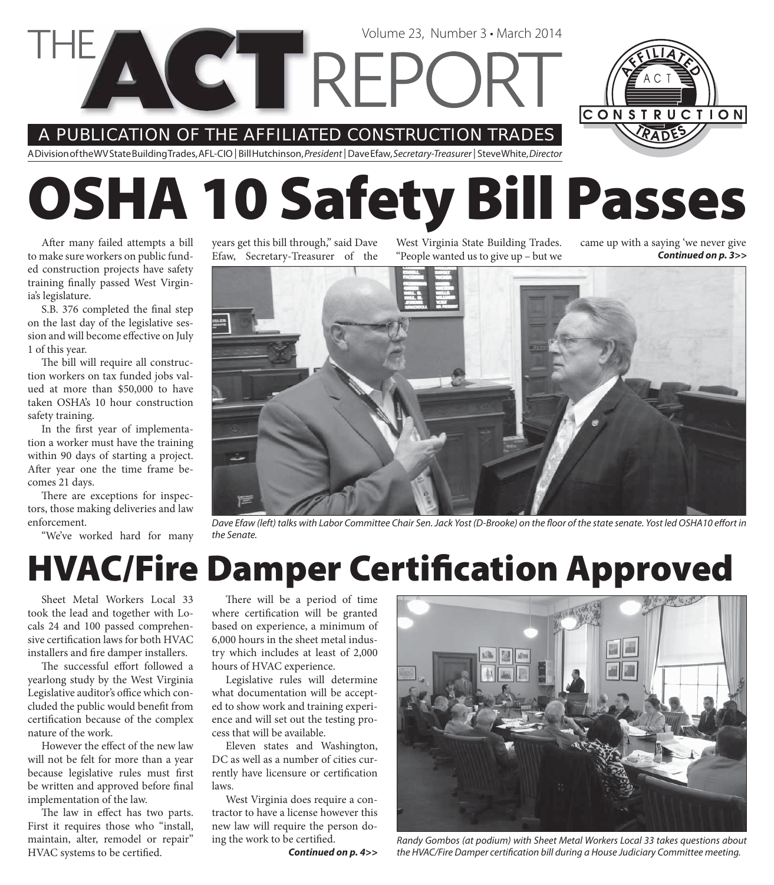A PUBLICATION OF THE AFFILIATED CONSTRUCTION TRADES

A Division of the WV State Building Trades, AFL-CIO | Bill Hutchinson, President | Dave Efaw, Secretary-Treasurer | Steve White, Director

# **OSHA 10 Safety Bill Passes**

Volume 23, Number 3 • March 2014

After many failed attempts a bill to make sure workers on public funded construction projects have safety training finally passed West Virginia's legislature.

S.B. 376 completed the final step on the last day of the legislative session and will become effective on July 1 of this year.

The bill will require all construction workers on tax funded jobs valued at more than \$50,000 to have taken OSHA's 10 hour construction safety training.

In the first year of implementation a worker must have the training within 90 days of starting a project. After year one the time frame becomes 21 days.

There are exceptions for inspectors, those making deliveries and law enforcement.

"We've worked hard for many

years get this bill through," said Dave Efaw, Secretary-Treasurer of the

West Virginia State Building Trades. "People wanted us to give up – but we came up with a saying 'we never give *Continued on p. 3>>*



Dave Efaw (left) talks with Labor Committee Chair Sen. Jack Yost (D-Brooke) on the floor of the state senate. Yost led OSHA10 effort in the Senate.

### **HVAC/Fire Damper Certification Approved**

Sheet Metal Workers Local 33 took the lead and together with Locals 24 and 100 passed comprehensive certification laws for both HVAC installers and fire damper installers.

The successful effort followed a yearlong study by the West Virginia Legislative auditor's office which concluded the public would benefit from certification because of the complex nature of the work.

However the effect of the new law will not be felt for more than a year because legislative rules must first be written and approved before final implementation of the law.

The law in effect has two parts. First it requires those who "install, maintain, alter, remodel or repair" HVAC systems to be certified.

There will be a period of time where certification will be granted based on experience, a minimum of 6,000 hours in the sheet metal industry which includes at least of 2,000 hours of HVAC experience.

Legislative rules will determine what documentation will be accepted to show work and training experience and will set out the testing process that will be available.

Eleven states and Washington, DC as well as a number of cities currently have licensure or certification laws.

West Virginia does require a contractor to have a license however this new law will require the person do-

*Continued on p. 4>>*



ing the work to be certified. Randy Gombos (at podium) with Sheet Metal Workers Local 33 takes questions about the HVAC/Fire Damper certification bill during a House Judiciary Committee meeting.

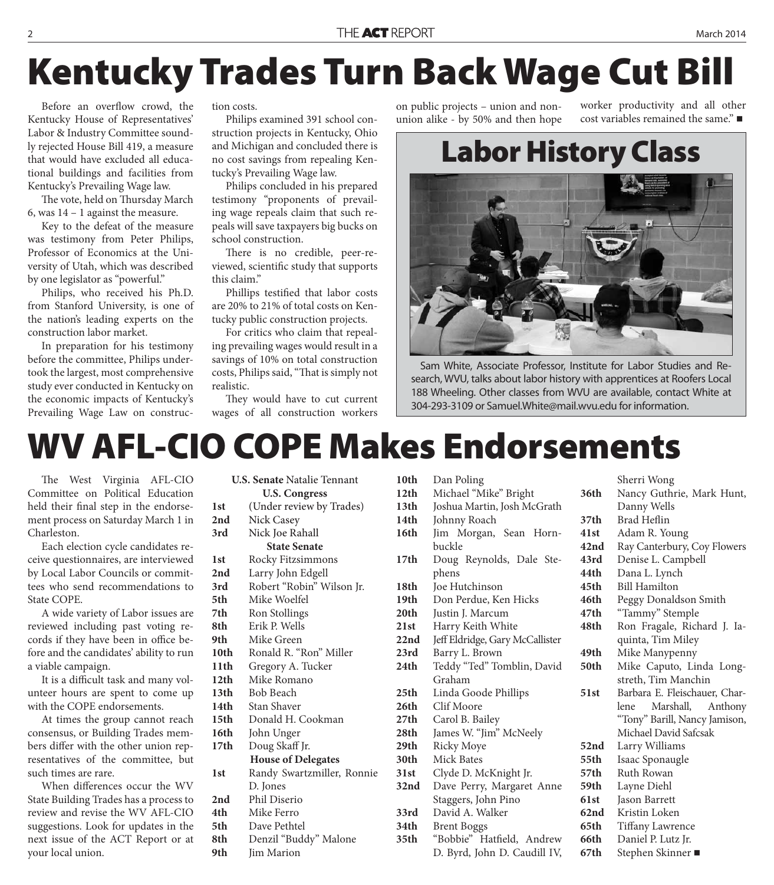# **Kentucky Trades Turn Back Wage Cut Bill**

Before an overflow crowd, the Kentucky House of Representatives' Labor & Industry Committee soundly rejected House Bill 419, a measure that would have excluded all educational buildings and facilities from Kentucky's Prevailing Wage law.

The vote, held on Thursday March 6, was 14 – 1 against the measure.

Key to the defeat of the measure was testimony from Peter Philips, Professor of Economics at the University of Utah, which was described by one legislator as "powerful."

Philips, who received his Ph.D. from Stanford University, is one of the nation's leading experts on the construction labor market.

In preparation for his testimony before the committee, Philips undertook the largest, most comprehensive study ever conducted in Kentucky on the economic impacts of Kentucky's Prevailing Wage Law on construction costs.

Philips examined 391 school construction projects in Kentucky, Ohio and Michigan and concluded there is no cost savings from repealing Kentucky's Prevailing Wage law.

Philips concluded in his prepared testimony "proponents of prevailing wage repeals claim that such repeals will save taxpayers big bucks on school construction.

There is no credible, peer-reviewed, scientific study that supports this claim."

Phillips testified that labor costs are 20% to 21% of total costs on Kentucky public construction projects.

For critics who claim that repealing prevailing wages would result in a savings of 10% on total construction costs, Philips said, "That is simply not realistic.

They would have to cut current wages of all construction workers on public projects – union and nonunion alike - by 50% and then hope

worker productivity and all other cost variables remained the same."

### **Labor History Class**



Sam White, Associate Professor, Institute for Labor Studies and Research, WVU, talks about labor history with apprentices at Roofers Local 188 Wheeling. Other classes from WVU are available, contact White at 304-293-3109 or Samuel.White@mail.wvu.edu for information.

### **WV AFL-CIO COPE Makes Endorsements**

The West Virginia AFL-CIO Committee on Political Education held their final step in the endorsement process on Saturday March 1 in Charleston.

Each election cycle candidates receive questionnaires, are interviewed by Local Labor Councils or committees who send recommendations to State COPE.

A wide variety of Labor issues are reviewed including past voting records if they have been in office before and the candidates' ability to run a viable campaign.

It is a difficult task and many volunteer hours are spent to come up with the COPE endorsements.

At times the group cannot reach consensus, or Building Trades members differ with the other union representatives of the committee, but such times are rare.

When differences occur the WV State Building Trades has a process to review and revise the WV AFL-CIO suggestions. Look for updates in the next issue of the ACT Report or at your local union.

| <b>U.S. Senate Natalie Tennant</b> |                            |  |  |  |
|------------------------------------|----------------------------|--|--|--|
| <b>U.S. Congress</b>               |                            |  |  |  |
| 1st                                | (Under review by Trades)   |  |  |  |
| 2nd                                | <b>Nick Casey</b>          |  |  |  |
| 3rd                                | Nick Joe Rahall            |  |  |  |
| <b>State Senate</b>                |                            |  |  |  |
| 1st                                | Rocky Fitzsimmons          |  |  |  |
| 2nd                                | Larry John Edgell          |  |  |  |
| 3rd                                | Robert "Robin" Wilson Jr.  |  |  |  |
| 5th                                | Mike Woelfel               |  |  |  |
| 7th                                | Ron Stollings              |  |  |  |
| 8th.                               | Erik P. Wells              |  |  |  |
| 9th                                | Mike Green                 |  |  |  |
| 10th                               | Ronald R. "Ron" Miller     |  |  |  |
| 11 <sup>th</sup>                   | Gregory A. Tucker          |  |  |  |
| 12 <sub>th</sub>                   | Mike Romano                |  |  |  |
| 13th                               | <b>Bob Beach</b>           |  |  |  |
| 14th                               | <b>Stan Shaver</b>         |  |  |  |
| 15 <sub>th</sub>                   | Donald H. Cookman          |  |  |  |
| 16th                               | John Unger                 |  |  |  |
| 17 <sub>th</sub>                   | Doug Skaff Jr.             |  |  |  |
|                                    | <b>House of Delegates</b>  |  |  |  |
| 1st                                | Randy Swartzmiller, Ronnie |  |  |  |
|                                    | D. Jones                   |  |  |  |
| 2nd                                | Phil Diserio               |  |  |  |
| 4th                                | Mike Ferro                 |  |  |  |
| 5th                                | Dave Pethtel               |  |  |  |
| 8th                                | Denzil "Buddy" Malone      |  |  |  |
| 9th                                | Jim Marion                 |  |  |  |

| 10th | Dan Poling                      |                  | Sherri Wong                   |
|------|---------------------------------|------------------|-------------------------------|
| 12th | Michael "Mike" Bright           | 36th             | Nancy Guthrie, Mark Hunt,     |
| 13th | Joshua Martin, Josh McGrath     |                  | Danny Wells                   |
| 14th | Johnny Roach                    | 37 <sub>th</sub> | <b>Brad Heflin</b>            |
| 16th | Jim Morgan, Sean Horn-          | 41st             | Adam R. Young                 |
|      | buckle                          | 42nd             | Ray Canterbury, Coy Flowers   |
| 17th | Doug Reynolds, Dale Ste-        | 43rd             | Denise L. Campbell            |
|      | phens                           | 44th             | Dana L. Lynch                 |
| 18th | Joe Hutchinson                  | 45th             | <b>Bill Hamilton</b>          |
| 19th | Don Perdue, Ken Hicks           | 46th             | Peggy Donaldson Smith         |
| 20th | Justin J. Marcum                | 47th             | "Tammy" Stemple               |
| 21st | Harry Keith White               | 48th             | Ron Fragale, Richard J. Ia-   |
| 22nd | Jeff Eldridge, Gary McCallister |                  | quinta, Tim Miley             |
| 23rd | Barry L. Brown                  | 49th             | Mike Manypenny                |
| 24th | Teddy "Ted" Tomblin, David      | 50th             | Mike Caputo, Linda Long-      |
|      | Graham                          |                  | streth, Tim Manchin           |
| 25th | Linda Goode Phillips            | 51st             | Barbara E. Fleischauer, Char- |
| 26th | Clif Moore                      |                  | Marshall,<br>Anthony<br>lene  |
| 27th | Carol B. Bailey                 |                  | "Tony" Barill, Nancy Jamison, |
| 28th | James W. "Jim" McNeely          |                  | Michael David Safcsak         |
| 29th | <b>Ricky Moye</b>               | 52nd             | Larry Williams                |
| 30th | Mick Bates                      | 55th             | Isaac Sponaugle               |
| 31st | Clyde D. McKnight Jr.           | 57th             | Ruth Rowan                    |
| 32nd | Dave Perry, Margaret Anne       | <b>59th</b>      | Layne Diehl                   |
|      | Staggers, John Pino             | 61st             | Jason Barrett                 |
| 33rd | David A. Walker                 | 62nd             | Kristin Loken                 |
| 34th | <b>Brent Boggs</b>              | 65th             | <b>Tiffany Lawrence</b>       |
| 35th | "Bobbie" Hatfield, Andrew       | 66th             | Daniel P. Lutz Jr.            |
|      | D. Byrd, John D. Caudill IV,    | 67th             | Stephen Skinner ■             |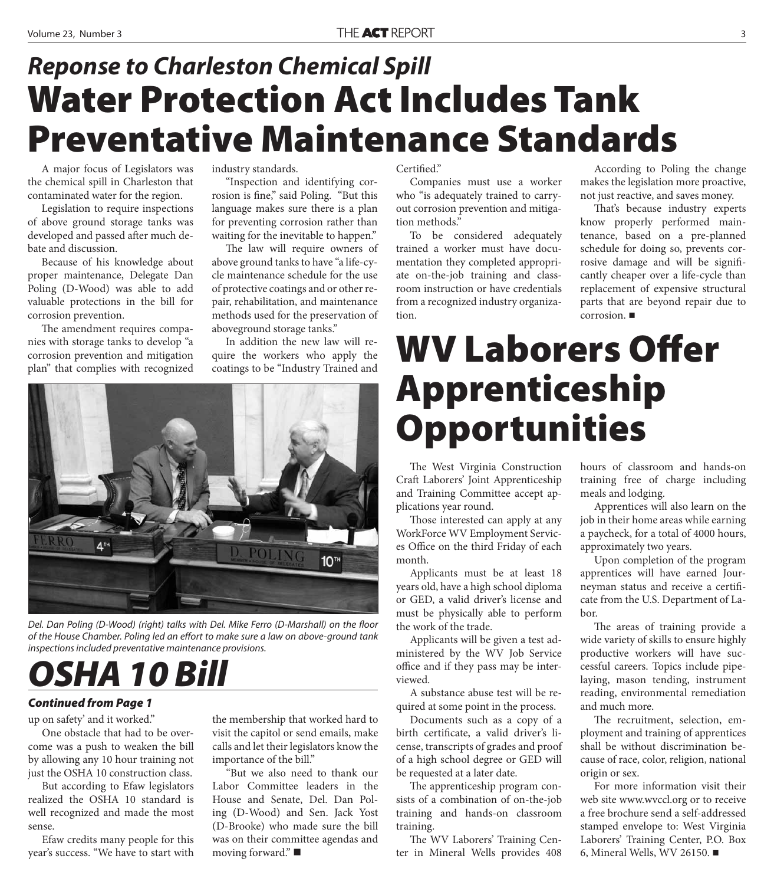### **Water Protection Act Includes Tank Preventative Maintenance Standards** *Reponse to Charleston Chemical Spill*

A major focus of Legislators was the chemical spill in Charleston that contaminated water for the region.

Legislation to require inspections of above ground storage tanks was developed and passed after much debate and discussion.

Because of his knowledge about proper maintenance, Delegate Dan Poling (D-Wood) was able to add valuable protections in the bill for corrosion prevention.

The amendment requires companies with storage tanks to develop "a corrosion prevention and mitigation plan" that complies with recognized industry standards.

"Inspection and identifying corrosion is fine," said Poling. "But this language makes sure there is a plan for preventing corrosion rather than waiting for the inevitable to happen."

The law will require owners of above ground tanks to have "a life-cycle maintenance schedule for the use of protective coatings and or other repair, rehabilitation, and maintenance methods used for the preservation of aboveground storage tanks."

In addition the new law will require the workers who apply the coatings to be "Industry Trained and



Del. Dan Poling (D-Wood) (right) talks with Del. Mike Ferro (D-Marshall) on the floor of the House Chamber. Poling led an effort to make sure a law on above-ground tank inspections included preventative maintenance provisions.

# *OSHA 10 Bill*

#### *Continued from Page 1*

up on safety' and it worked."

One obstacle that had to be overcome was a push to weaken the bill by allowing any 10 hour training not just the OSHA 10 construction class.

But according to Efaw legislators realized the OSHA 10 standard is well recognized and made the most sense.

Efaw credits many people for this year's success. "We have to start with

the membership that worked hard to visit the capitol or send emails, make calls and let their legislators know the importance of the bill."

"But we also need to thank our Labor Committee leaders in the House and Senate, Del. Dan Poling (D-Wood) and Sen. Jack Yost (D-Brooke) who made sure the bill was on their committee agendas and moving forward."

#### Certified."

Companies must use a worker who "is adequately trained to carryout corrosion prevention and mitigation methods."

To be considered adequately trained a worker must have documentation they completed appropriate on-the-job training and classroom instruction or have credentials from a recognized industry organization.

According to Poling the change makes the legislation more proactive, not just reactive, and saves money.

That's because industry experts know properly performed maintenance, based on a pre-planned schedule for doing so, prevents corrosive damage and will be significantly cheaper over a life-cycle than replacement of expensive structural parts that are beyond repair due to corrosion.

## **WV Laborers Offer Apprenticeship Opportunities**

The West Virginia Construction Craft Laborers' Joint Apprenticeship and Training Committee accept applications year round.

Those interested can apply at any WorkForce WV Employment Services Office on the third Friday of each month.

Applicants must be at least 18 years old, have a high school diploma or GED, a valid driver's license and must be physically able to perform the work of the trade.

Applicants will be given a test administered by the WV Job Service office and if they pass may be interviewed.

A substance abuse test will be required at some point in the process.

Documents such as a copy of a birth certificate, a valid driver's license, transcripts of grades and proof of a high school degree or GED will be requested at a later date.

The apprenticeship program consists of a combination of on-the-job training and hands-on classroom training.

The WV Laborers' Training Center in Mineral Wells provides 408 hours of classroom and hands-on training free of charge including meals and lodging.

Apprentices will also learn on the job in their home areas while earning a paycheck, for a total of 4000 hours, approximately two years.

Upon completion of the program apprentices will have earned Journeyman status and receive a certificate from the U.S. Department of Labor.

The areas of training provide a wide variety of skills to ensure highly productive workers will have successful careers. Topics include pipelaying, mason tending, instrument reading, environmental remediation and much more.

The recruitment, selection, employment and training of apprentices shall be without discrimination because of race, color, religion, national origin or sex.

For more information visit their web site www.wvccl.org or to receive a free brochure send a self-addressed stamped envelope to: West Virginia Laborers' Training Center, P.O. Box 6, Mineral Wells, WV 26150.